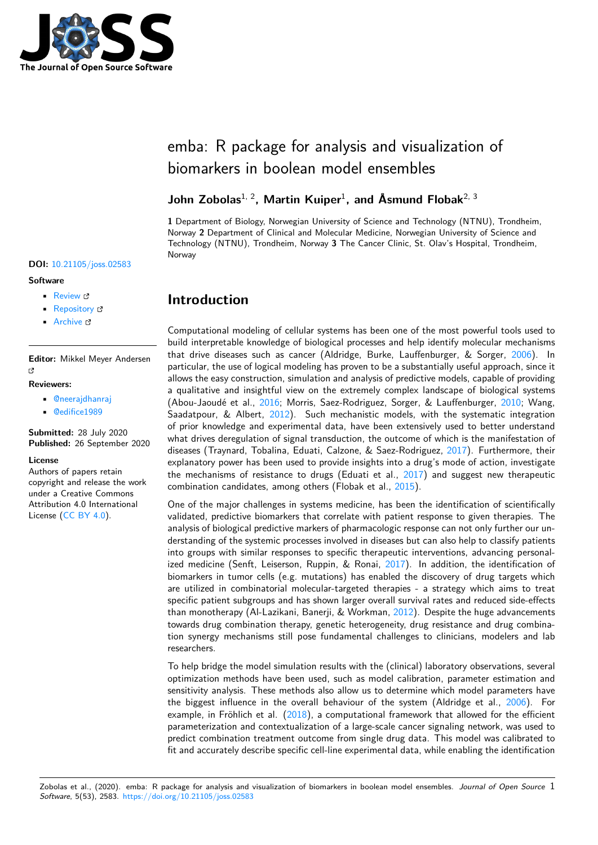

# emba: R package for analysis and visualization of biomarkers in boolean model ensembles

### **John Zobolas**1, 2**, Martin Kuiper**<sup>1</sup> **, and Åsmund Flobak**2, 3

**1** Department of Biology, Norwegian University of Science and Technology (NTNU), Trondheim, Norway **2** Department of Clinical and Molecular Medicine, Norwegian University of Science and Technology (NTNU), Trondheim, Norway **3** The Cancer Clinic, St. Olav's Hospital, Trondheim, Norway

# **Introduction**

Computational modeling of cellular systems has been one of the most powerful tools used to build interpretable knowledge of biological processes and help identify molecular mechanisms that drive diseases such as cancer (Aldridge, Burke, Lauffenburger, & Sorger, 2006). In particular, the use of logical modeling has proven to be a substantially useful approach, since it allows the easy construction, simulation and analysis of predictive models, capable of providing a qualitative and insightful view on the extremely complex landscape of biological systems (Abou-Jaoudé et al., 2016; Morris, Saez-Rodriguez, Sorger, & Lauffenburger, 20[10; W](#page-2-0)ang, Saadatpour, & Albert, 2012). Such mechanistic models, with the systematic integration of prior knowledge and experimental data, have been extensively used to better understand what drives deregulation of signal transduction, the outcome of which is the manifestation of diseases (Traynard, T[obalin](#page-2-1)a, Eduati, Calzone, & Saez-Rodriguez, 2017). Furt[hermo](#page-3-0)re, their explanatory power has b[een u](#page-3-1)sed to provide insights into a drug's mode of action, investigate the mechanisms of resistance to drugs (Eduati et al.,  $2017$ ) and suggest new therapeutic combination candidates, among others (Flobak et al., 2015).

One of the major challenges in systems medicine, has been the id[entific](#page-3-2)ation of scientifically validated, predictive biomarkers that correlate with patient response to given therapies. The analysis of biological predictive markers of pharmacologic [respo](#page-2-2)nse can not only further our understanding of the systemic processes involved in disea[ses bu](#page-2-3)t can also help to classify patients into groups with similar responses to specific therapeutic interventions, advancing personalized medicine (Senft, Leiserson, Ruppin,  $&$  Ronai, 2017). In addition, the identification of biomarkers in tumor cells (e.g. mutations) has enabled the discovery of drug targets which are utilized in combinatorial molecular-targeted therapies - a strategy which aims to treat specific patient subgroups and has shown larger overall survival rates and reduced side-effects than monotherapy (Al-Lazikani, Banerji, & Workman, [201](#page-3-3)2). Despite the huge advancements towards drug combination therapy, genetic heterogeneity, drug resistance and drug combination synergy mechanisms still pose fundamental challenges to clinicians, modelers and lab researchers.

To help bridge the model simulation results with the ([clinica](#page-2-4)l) laboratory observations, several optimization methods have been used, such as model calibration, parameter estimation and sensitivity analysis. These methods also allow us to determine which model parameters have the biggest influence in the overall behaviour of the system (Aldridge et al., 2006). For example, in Fröhlich et al.  $(2018)$ , a computational framework that allowed for the efficient parameterization and contextualization of a large-scale cancer signaling network, was used to predict combination treatment outcome from single drug data. This model was calibrated to fit and accurately describe specific cell-line experimental data, while enabling the i[dentifi](#page-2-0)cation

# **DOI:** 10.21105/joss.02583

#### **Software**

- Review L'
- [Repository](https://doi.org/10.21105/joss.02583) &
- Archive

**Editor:** [Mikkel M](https://github.com/bblodfon/emba)eyer Andersen Ľ

#### **Reviewers:**

- @neerajdhanraj
- @edifice1989

**Submitted:** 28 July 2020 **Published:** [26 Septem](https://github.com/neerajdhanraj)ber 2020

#### **Licen[se](https://github.com/edifice1989)**

Authors of papers retain copyright and release the work under a Creative Commons Attribution 4.0 International License (CC BY 4.0).

Zobolas et al., (2020). emba: R package for analysis and visualization of biomarkers in boolean model ensembles. *Journal of Open Source* 1*Software*, 5(53), 2583. https://doi.org/10.21105/joss.02583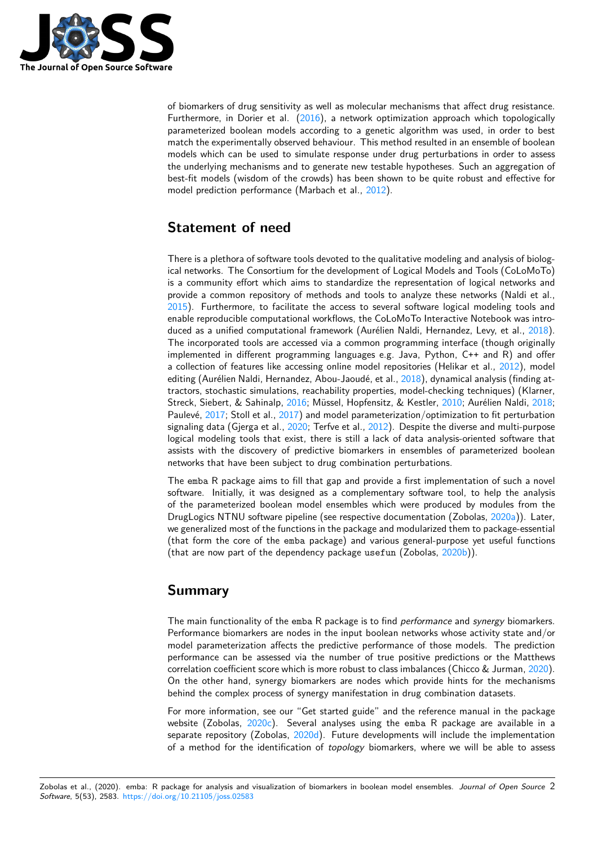

of biomarkers of drug sensitivity as well as molecular mechanisms that affect drug resistance. Furthermore, in Dorier et al. (2016), a network optimization approach which topologically parameterized boolean models according to a genetic algorithm was used, in order to best match the experimentally observed behaviour. This method resulted in an ensemble of boolean models which can be used to simulate response under drug perturbations in order to assess the underlying mechanisms and [to ge](#page-2-5)nerate new testable hypotheses. Such an aggregation of best-fit models (wisdom of the crowds) has been shown to be quite robust and effective for model prediction performance (Marbach et al., 2012).

# **Statement of need**

There is a plethora of software tools devoted to the qualitative modeling and analysis of biological networks. The Consortium for the development of Logical Models and Tools (CoLoMoTo) is a community effort which aims to standardize the representation of logical networks and provide a common repository of methods and tools to analyze these networks (Naldi et al., 2015). Furthermore, to facilitate the access to several software logical modeling tools and enable reproducible computational workflows, the CoLoMoTo Interactive Notebook was introduced as a unified computational framework (Aurélien Naldi, Hernandez, Levy, et al., 2018). The incorporated tools are accessed via a common programming interface (though originally [imple](#page-3-4)mented in different programming languages e.g. Java, Python, C++ and R) and offer a collection of features like accessing online model repositories (Helikar et al., 2012), model editing (Aurélien Naldi, Hernandez, Abou-Jaoudé, et al., 2018), dynamical analysis (fin[ding at](#page-3-5)tractors, stochastic simulations, reachability properties, model-checking techniques) (Klarner, Streck, Siebert, & Sahinalp, 2016; Müssel, Hopfensitz, & Kestler, 2010; Aurélien Naldi, 2018; Paulevé, 2017; Stoll et al., 2017) and model parameterization/optimization to fi[t pert](#page-2-6)urbation signaling data (Gjerga et al., 2020; Terfve et al., 2012). [Despi](#page-3-6)te the diverse and multi-purpose logical modeling tools that exist, there is still a lack of data analysis-oriented software that assists with the discovery [of pre](#page-2-7)dictive biomarkers in ensemble[s of p](#page-3-7)arameterized b[oolean](#page-3-8) networks [that](#page-3-9) have been s[ubject](#page-3-10) to drug combination perturbations.

The emba R package aims t[o fill t](#page-2-8)hat gap and p[rovid](#page-3-11)e a first implementation of such a novel software. Initially, it was designed as a complementary software tool, to help the analysis of the parameterized boolean model ensembles which were produced by modules from the DrugLogics NTNU software pipeline (see respective documentation (Zobolas, 2020a)). Later, we generalized most of the functions in the package and modularized them to package-essential (that form the core of the emba package) and various general-purpose yet useful functions (that are now part of the dependency package usefun (Zobolas, 2020b)).

### **Summary**

The main functionality of the emba R package is to find *performance* and *synergy* biomarkers. Performance biomarkers are nodes in the input boolean networks whose activity state and/or model parameterization affects the predictive performance of those models. The prediction performance can be assessed via the number of true positive predictions or the Matthews correlation coefficient score which is more robust to class imbalances (Chicco & Jurman, 2020). On the other hand, synergy biomarkers are nodes which provide hints for the mechanisms behind the complex process of synergy manifestation in drug combination datasets.

For more information, see our "Get started guide" and the reference manual in the package website (Zobolas, 2020c). Several analyses using the emba R package are availab[le in](#page-2-9) a separate repository (Zobolas, 2020d). Future developments will include the implementation of a method for the identification of *topology* biomarkers, where we will be able to assess

Zobolas et al., (2020). emba: R package for analysis and visualizatio[n of bio](#page-4-0)markers in boolean model ensembles. *Journal of Open Source* 2*Software*, 5(53), 2583. https://doi.org/10.21105/joss.02583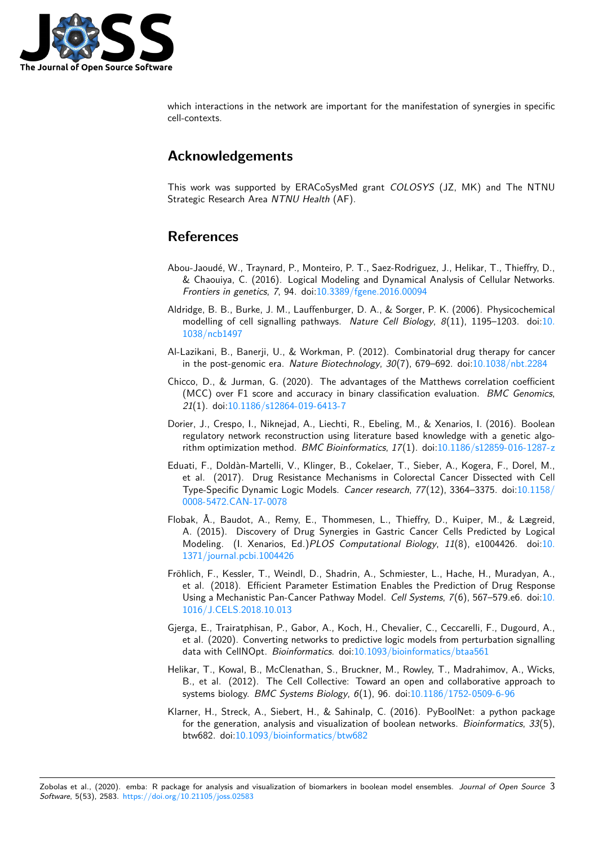

which interactions in the network are important for the manifestation of synergies in specific cell-contexts.

## **Acknowledgements**

This work was supported by ERACoSysMed grant *COLOSYS* (JZ, MK) and The NTNU Strategic Research Area *NTNU Health* (AF).

### **References**

- Abou-Jaoudé, W., Traynard, P., Monteiro, P. T., Saez-Rodriguez, J., Helikar, T., Thieffry, D., & Chaouiya, C. (2016). Logical Modeling and Dynamical Analysis of Cellular Networks. *Frontiers in genetics*, *7*, 94. doi:10.3389/fgene.2016.00094
- <span id="page-2-1"></span>Aldridge, B. B., Burke, J. M., Lauffenburger, D. A., & Sorger, P. K. (2006). Physicochemical modelling of cell signalling pathways. *Nature Cell Biology*, *8*(11), 1195–1203. doi:10. 1038/ncb1497
- Al-Lazikani, B., Banerji, U., & Wo[rkman, P. \(2012\). Combina](https://doi.org/10.3389/fgene.2016.00094)torial drug therapy for cancer in the post-genomic era. *Nature Biotechnology*, *30*(7), 679–692. doi:10.1038/nbt.22[84](https://doi.org/10.1038/ncb1497)
- <span id="page-2-0"></span>Chi[cco, D., & Jur](https://doi.org/10.1038/ncb1497)man, G. (2020). The advantages of the Matthews correlation coefficient (MCC) over F1 score and accuracy in binary classification evaluation. *BMC Genomics*, *21*(1). doi:10.1186/s12864-019-6413-7
- <span id="page-2-9"></span><span id="page-2-4"></span>Dorier, J., Crespo, I., Niknejad, A., Liechti, R., Ebeling, M., & Xenarios[, I. \(2016\). Boolea](https://doi.org/10.1038/nbt.2284)n regulatory network reconstruction using literature based knowledge with a genetic algorithm opti[mization method.](https://doi.org/10.1186/s12864-019-6413-7) *BMC Bioinformatics*, *17*(1). doi:10.1186/s12859-016-1287-z
- <span id="page-2-5"></span>Eduati, F., Doldàn-Martelli, V., Klinger, B., Cokelaer, T., Sieber, A., Kogera, F., Dorel, M., et al. (2017). Drug Resistance Mechanisms in Colorectal Cancer Dissected with Cell Type-Specific Dynamic Logic Models. *Cancer research*, *77*(1[2\), 3364–3375. doi:10.1158/](https://doi.org/10.1186/s12859-016-1287-z) 0008-5472.CAN-17-0078
- <span id="page-2-2"></span>Flobak, Å., Baudot, A., Remy, E., Thommesen, L., Thieffry, D., Kuiper, M., & Lægreid, A. (2015). Discovery of Drug Synergies in Gastric Cancer Cells Predicted by Logical Modeling. (I. Xenarios, Ed.)*PLOS Computational Biology*, *11*(8), e1004426[. doi:10.](https://doi.org/10.1158/0008-5472.CAN-17-0078) [1371/journal.pcbi.100442](https://doi.org/10.1158/0008-5472.CAN-17-0078)6
- <span id="page-2-3"></span>Fröhlich, F., Kessler, T., Weindl, D., Shadrin, A., Schmiester, L., Hache, H., Muradyan, A., et al. (2018). Efficient Parameter Estimation Enables the Prediction of Drug Response Using a Mechanistic Pan-Cancer Pathway Model. *Cell Systems*, *7*(6), 567–579.e6. doi[:10.](https://doi.org/10.1371/journal.pcbi.1004426) [1016/J.CELS.2018.10.013](https://doi.org/10.1371/journal.pcbi.1004426)
- Gjerga, E., Trairatphisan, P., Gabor, A., Koch, H., Chevalier, C., Ceccarelli, F., Dugourd, A., et al. (2020). Converting networks to predictive logic models from perturbation signal[ling](https://doi.org/10.1016/J.CELS.2018.10.013) [data with CellNOpt.](https://doi.org/10.1016/J.CELS.2018.10.013) *Bioinformatics*. doi:10.1093/bioinformatics/btaa561
- <span id="page-2-8"></span>Helikar, T., Kowal, B., McClenathan, S., Bruckner, M., Rowley, T., Madrahimov, A., Wicks, B., et al. (2012). The Cell Collective: Toward an open and collaborative approach to systems biology. *BMC Systems Biology*, *6*[\(1\), 96. doi:10.1186/1752-0509](https://doi.org/10.1093/bioinformatics/btaa561)-6-96
- <span id="page-2-7"></span><span id="page-2-6"></span>Klarner, H., Streck, A., Siebert, H., & Sahinalp, C. (2016). PyBoolNet: a python package for the generation, analysis and visualization of boolean networks. *Bioinformatics*, *33*(5), btw682. doi:10.1093/bioinformatics/btw682

Zobolas et al., (2020). emba: R package for analysis [and visualization of biomarkers in bo](https://doi.org/10.1093/bioinformatics/btw682)olean model ensembles. *Journal of Open Source* 3*Software*, 5(53), 2583. https://doi.org/10.21105/joss.02583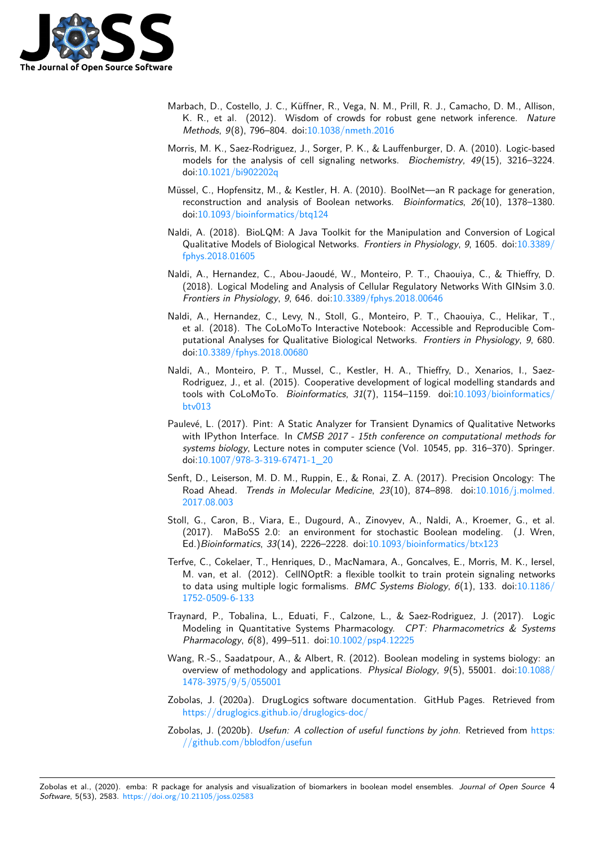

- Marbach, D., Costello, J. C., Küffner, R., Vega, N. M., Prill, R. J., Camacho, D. M., Allison, K. R., et al. (2012). Wisdom of crowds for robust gene network inference. *Nature Methods*, *9*(8), 796–804. doi:10.1038/nmeth.2016
- Morris, M. K., Saez-Rodriguez, J., Sorger, P. K., & Lauffenburger, D. A. (2010). Logic-based models for the analysis of cell signaling networks. *Biochemistry*, *49*(15), 3216–3224. doi:10.1021/bi902202q
- <span id="page-3-0"></span>Müssel, C., Hopfensitz, M., & Ke[stler, H. A. \(2010\). B](https://doi.org/10.1038/nmeth.2016)oolNet—an R package for generation, reconstruction and analysis of Boolean networks. *Bioinformatics*, *26*(10), 1378–1380. doi[:10.1093/bioinforma](https://doi.org/10.1021/bi902202q)tics/btq124
- <span id="page-3-7"></span>Naldi, A. (2018). BioLQM: A Java Toolkit for the Manipulation and Conversion of Logical Qualitative Models of Biological Networks. *Frontiers in Physiology*, *9*, 1605. doi:10.3389/ fph[ys.2018.01605](https://doi.org/10.1093/bioinformatics/btq124)
- <span id="page-3-8"></span>Naldi, A., Hernandez, C., Abou-Jaoudé, W., Monteiro, P. T., Chaouiya, C., & Thieffry, D. (2018). Logical Modeling and Analysis of Cellular Regulatory Networks With GI[Nsim 3.0.](https://doi.org/10.3389/fphys.2018.01605) *[Frontiers in Physi](https://doi.org/10.3389/fphys.2018.01605)ology*, *9*, 646. doi:10.3389/fphys.2018.00646
- <span id="page-3-6"></span>Naldi, A., Hernandez, C., Levy, N., Stoll, G., Monteiro, P. T., Chaouiya, C., Helikar, T., et al. (2018). The CoLoMoTo Interactive Notebook: Accessible and Reproducible Computational Analyses for Qualitative [Biological Networks.](https://doi.org/10.3389/fphys.2018.00646) *Frontiers in Physiology*, *9*, 680. doi:10.3389/fphys.2018.00680
- <span id="page-3-5"></span>Naldi, A., Monteiro, P. T., Mussel, C., Kestler, H. A., Thieffry, D., Xenarios, I., Saez-Rodriguez, J., et al. (2015). Cooperative development of logical modelling standards and too[ls with CoLoMoTo.](https://doi.org/10.3389/fphys.2018.00680) *Bioinformatics*, *31*(7), 1154–1159. doi:10.1093/bioinformatics/ btv013
- <span id="page-3-4"></span>Paulevé, L. (2017). Pint: A Static Analyzer for Transient Dynamics of Qualitative Networks with IPython Interface. In *CMSB 2017 - 15th conference on computational methods for systems biology*, Lecture notes in computer science (Vol. 10545, [pp. 316–370\). Springer.](https://doi.org/10.1093/bioinformatics/btv013) [doi:10.1](https://doi.org/10.1093/bioinformatics/btv013)007/978-3-319-67471-1\_20
- <span id="page-3-9"></span>Senft, D., Leiserson, M. D. M., Ruppin, E., & Ronai, Z. A. (2017). Precision Oncology: The Road Ahead. *Trends in Molecular Medicine*, *23*(10), 874–898. doi:10.1016/j.molmed. 201[7.08.003](https://doi.org/10.1007/978-3-319-67471-1_20)
- <span id="page-3-3"></span>Stoll, G., Caron, B., Viara, E., Dugourd, A., Zinovyev, A., Naldi, A., Kroemer, G., et al. (2017). MaBoSS 2.0: an environment for stochastic Boolean mo[deling. \(J. Wren,](https://doi.org/10.1016/j.molmed.2017.08.003) Ed.)*[Bioinfor](https://doi.org/10.1016/j.molmed.2017.08.003)matics*, *33*(14), 2226–2228. doi:10.1093/bioinformatics/btx123
- <span id="page-3-10"></span>Terfve, C., Cokelaer, T., Henriques, D., MacNamara, A., Goncalves, E., Morris, M. K., Iersel, M. van, et al. (2012). CellNOptR: a flexible toolkit to train protein signaling networks to data using multiple logic formalisms. *B[MC Systems Biology](https://doi.org/10.1093/bioinformatics/btx123)*, *6*(1), 133. doi:10.1186/ 1752-0509-6-133
- <span id="page-3-11"></span>Traynard, P., Tobalina, L., Eduati, F., Calzone, L., & Saez-Rodriguez, J. (2017). Logic Modeling in Quantitative Systems Pharmacology. *CPT: Pharmacometrics & [Systems](https://doi.org/10.1186/1752-0509-6-133) [Pharmacology](https://doi.org/10.1186/1752-0509-6-133)*, *6*(8), 499–511. doi:10.1002/psp4.12225
- <span id="page-3-2"></span>Wang, R.-S., Saadatpour, A., & Albert, R. (2012). Boolean modeling in systems biology: an overview of methodology and applications. *Physical Biology*, *9*(5), 55001. doi:10.1088/ 1478-3975/9/5/055001
- <span id="page-3-1"></span>Zobolas, J. (2020a). DrugLogics soft[ware documentation.](https://doi.org/10.1002/psp4.12225) GitHub Pages. Retrieved from https://druglogics.github.io/druglogics-doc/
- Zo[bolas, J. \(2020b\).](https://doi.org/10.1088/1478-3975/9/5/055001) *Usefun: A collection of useful functions by john*. Retrieved from [https:](https://doi.org/10.1088/1478-3975/9/5/055001) //github.com/bblodfon/usefun